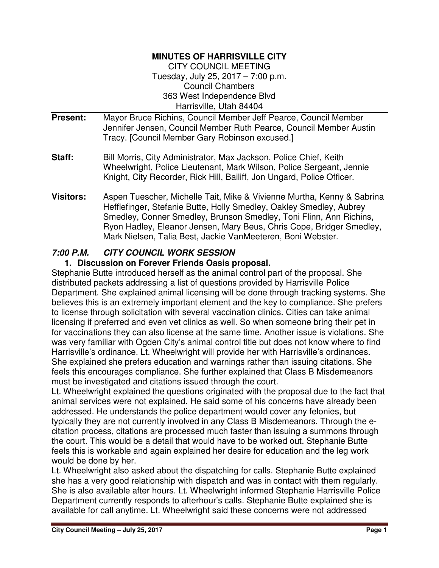#### **MINUTES OF HARRISVILLE CITY**

CITY COUNCIL MEETING Tuesday, July 25, 2017 – 7:00 p.m. Council Chambers 363 West Independence Blvd Harrisville, Utah 84404

- **Present:** Mayor Bruce Richins, Council Member Jeff Pearce, Council Member Jennifer Jensen, Council Member Ruth Pearce, Council Member Austin Tracy. [Council Member Gary Robinson excused.]
- **Staff:** Bill Morris, City Administrator, Max Jackson, Police Chief, Keith Wheelwright, Police Lieutenant, Mark Wilson, Police Sergeant, Jennie Knight, City Recorder, Rick Hill, Bailiff, Jon Ungard, Police Officer.
- **Visitors:** Aspen Tuescher, Michelle Tait, Mike & Vivienne Murtha, Kenny & Sabrina Hefflefinger, Stefanie Butte, Holly Smedley, Oakley Smedley, Aubrey Smedley, Conner Smedley, Brunson Smedley, Toni Flinn, Ann Richins, Ryon Hadley, Eleanor Jensen, Mary Beus, Chris Cope, Bridger Smedley, Mark Nielsen, Talia Best, Jackie VanMeeteren, Boni Webster.

### **7:00 P.M. CITY COUNCIL WORK SESSION**

### **1. Discussion on Forever Friends Oasis proposal.**

Stephanie Butte introduced herself as the animal control part of the proposal. She distributed packets addressing a list of questions provided by Harrisville Police Department. She explained animal licensing will be done through tracking systems. She believes this is an extremely important element and the key to compliance. She prefers to license through solicitation with several vaccination clinics. Cities can take animal licensing if preferred and even vet clinics as well. So when someone bring their pet in for vaccinations they can also license at the same time. Another issue is violations. She was very familiar with Ogden City's animal control title but does not know where to find Harrisville's ordinance. Lt. Wheelwright will provide her with Harrisville's ordinances. She explained she prefers education and warnings rather than issuing citations. She feels this encourages compliance. She further explained that Class B Misdemeanors must be investigated and citations issued through the court.

Lt. Wheelwright explained the questions originated with the proposal due to the fact that animal services were not explained. He said some of his concerns have already been addressed. He understands the police department would cover any felonies, but typically they are not currently involved in any Class B Misdemeanors. Through the ecitation process, citations are processed much faster than issuing a summons through the court. This would be a detail that would have to be worked out. Stephanie Butte feels this is workable and again explained her desire for education and the leg work would be done by her.

Lt. Wheelwright also asked about the dispatching for calls. Stephanie Butte explained she has a very good relationship with dispatch and was in contact with them regularly. She is also available after hours. Lt. Wheelwright informed Stephanie Harrisville Police Department currently responds to afterhour's calls. Stephanie Butte explained she is available for call anytime. Lt. Wheelwright said these concerns were not addressed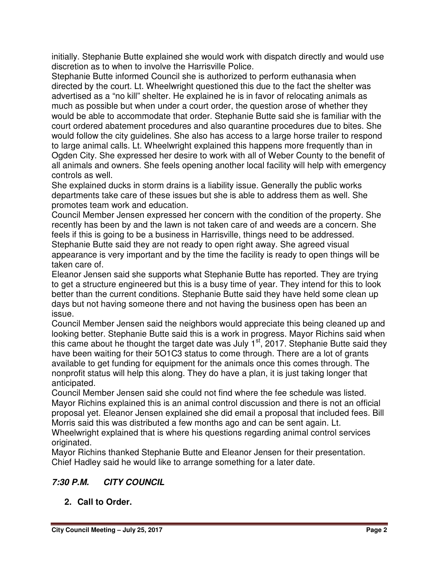initially. Stephanie Butte explained she would work with dispatch directly and would use discretion as to when to involve the Harrisville Police.

Stephanie Butte informed Council she is authorized to perform euthanasia when directed by the court. Lt. Wheelwright questioned this due to the fact the shelter was advertised as a "no kill" shelter. He explained he is in favor of relocating animals as much as possible but when under a court order, the question arose of whether they would be able to accommodate that order. Stephanie Butte said she is familiar with the court ordered abatement procedures and also quarantine procedures due to bites. She would follow the city guidelines. She also has access to a large horse trailer to respond to large animal calls. Lt. Wheelwright explained this happens more frequently than in Ogden City. She expressed her desire to work with all of Weber County to the benefit of all animals and owners. She feels opening another local facility will help with emergency controls as well.

She explained ducks in storm drains is a liability issue. Generally the public works departments take care of these issues but she is able to address them as well. She promotes team work and education.

Council Member Jensen expressed her concern with the condition of the property. She recently has been by and the lawn is not taken care of and weeds are a concern. She feels if this is going to be a business in Harrisville, things need to be addressed. Stephanie Butte said they are not ready to open right away. She agreed visual appearance is very important and by the time the facility is ready to open things will be taken care of.

Eleanor Jensen said she supports what Stephanie Butte has reported. They are trying to get a structure engineered but this is a busy time of year. They intend for this to look better than the current conditions. Stephanie Butte said they have held some clean up days but not having someone there and not having the business open has been an issue.

Council Member Jensen said the neighbors would appreciate this being cleaned up and looking better. Stephanie Butte said this is a work in progress. Mayor Richins said when this came about he thought the target date was July  $1<sup>st</sup>$ , 2017. Stephanie Butte said they have been waiting for their 5O1C3 status to come through. There are a lot of grants available to get funding for equipment for the animals once this comes through. The nonprofit status will help this along. They do have a plan, it is just taking longer that anticipated.

Council Member Jensen said she could not find where the fee schedule was listed. Mayor Richins explained this is an animal control discussion and there is not an official proposal yet. Eleanor Jensen explained she did email a proposal that included fees. Bill Morris said this was distributed a few months ago and can be sent again. Lt. Wheelwright explained that is where his questions regarding animal control services originated.

Mayor Richins thanked Stephanie Butte and Eleanor Jensen for their presentation. Chief Hadley said he would like to arrange something for a later date.

# **7:30 P.M. CITY COUNCIL**

**2. Call to Order.**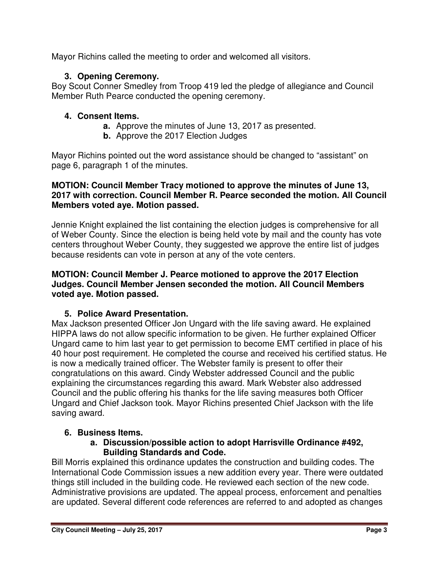Mayor Richins called the meeting to order and welcomed all visitors.

# **3. Opening Ceremony.**

Boy Scout Conner Smedley from Troop 419 led the pledge of allegiance and Council Member Ruth Pearce conducted the opening ceremony.

# **4. Consent Items.**

- **a.** Approve the minutes of June 13, 2017 as presented.
- **b.** Approve the 2017 Election Judges

Mayor Richins pointed out the word assistance should be changed to "assistant" on page 6, paragraph 1 of the minutes.

### **MOTION: Council Member Tracy motioned to approve the minutes of June 13, 2017 with correction. Council Member R. Pearce seconded the motion. All Council Members voted aye. Motion passed.**

Jennie Knight explained the list containing the election judges is comprehensive for all of Weber County. Since the election is being held vote by mail and the county has vote centers throughout Weber County, they suggested we approve the entire list of judges because residents can vote in person at any of the vote centers.

#### **MOTION: Council Member J. Pearce motioned to approve the 2017 Election Judges. Council Member Jensen seconded the motion. All Council Members voted aye. Motion passed.**

# **5. Police Award Presentation.**

Max Jackson presented Officer Jon Ungard with the life saving award. He explained HIPPA laws do not allow specific information to be given. He further explained Officer Ungard came to him last year to get permission to become EMT certified in place of his 40 hour post requirement. He completed the course and received his certified status. He is now a medically trained officer. The Webster family is present to offer their congratulations on this award. Cindy Webster addressed Council and the public explaining the circumstances regarding this award. Mark Webster also addressed Council and the public offering his thanks for the life saving measures both Officer Ungard and Chief Jackson took. Mayor Richins presented Chief Jackson with the life saving award.

# **6. Business Items.**

### **a. Discussion/possible action to adopt Harrisville Ordinance #492, Building Standards and Code.**

Bill Morris explained this ordinance updates the construction and building codes. The International Code Commission issues a new addition every year. There were outdated things still included in the building code. He reviewed each section of the new code. Administrative provisions are updated. The appeal process, enforcement and penalties are updated. Several different code references are referred to and adopted as changes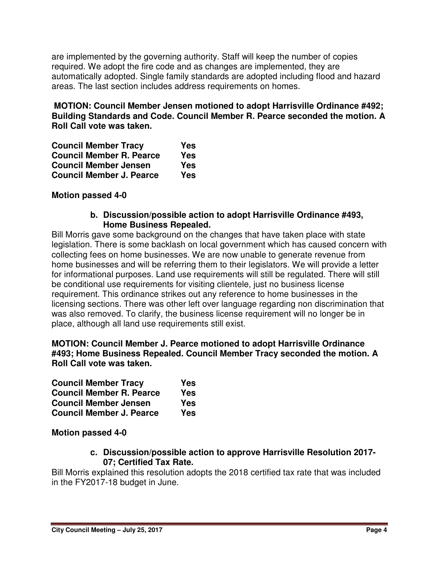are implemented by the governing authority. Staff will keep the number of copies required. We adopt the fire code and as changes are implemented, they are automatically adopted. Single family standards are adopted including flood and hazard areas. The last section includes address requirements on homes.

**MOTION: Council Member Jensen motioned to adopt Harrisville Ordinance #492; Building Standards and Code. Council Member R. Pearce seconded the motion. A Roll Call vote was taken.** 

| <b>Council Member Tracy</b>     | Yes |
|---------------------------------|-----|
| <b>Council Member R. Pearce</b> | Yes |
| <b>Council Member Jensen</b>    | Yes |
| <b>Council Member J. Pearce</b> | Yes |

#### **Motion passed 4-0**

#### **b. Discussion/possible action to adopt Harrisville Ordinance #493, Home Business Repealed.**

Bill Morris gave some background on the changes that have taken place with state legislation. There is some backlash on local government which has caused concern with collecting fees on home businesses. We are now unable to generate revenue from home businesses and will be referring them to their legislators. We will provide a letter for informational purposes. Land use requirements will still be regulated. There will still be conditional use requirements for visiting clientele, just no business license requirement. This ordinance strikes out any reference to home businesses in the licensing sections. There was other left over language regarding non discrimination that was also removed. To clarify, the business license requirement will no longer be in place, although all land use requirements still exist.

#### **MOTION: Council Member J. Pearce motioned to adopt Harrisville Ordinance #493; Home Business Repealed. Council Member Tracy seconded the motion. A Roll Call vote was taken.**

| <b>Council Member Tracy</b>     | Yes        |
|---------------------------------|------------|
| <b>Council Member R. Pearce</b> | Yes        |
| <b>Council Member Jensen</b>    | Yes        |
| <b>Council Member J. Pearce</b> | <b>Yes</b> |

#### **Motion passed 4-0**

#### **c. Discussion/possible action to approve Harrisville Resolution 2017- 07; Certified Tax Rate.**

Bill Morris explained this resolution adopts the 2018 certified tax rate that was included in the FY2017-18 budget in June.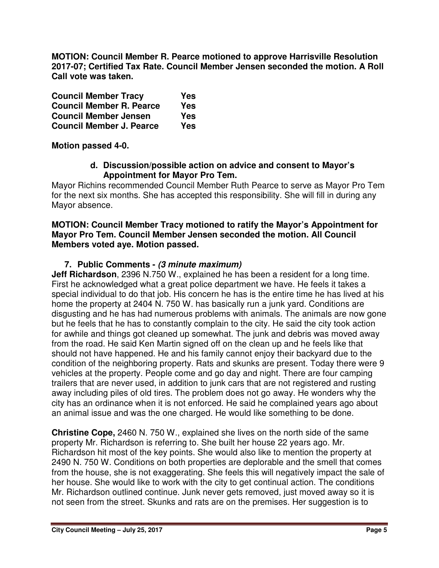**MOTION: Council Member R. Pearce motioned to approve Harrisville Resolution 2017-07; Certified Tax Rate. Council Member Jensen seconded the motion. A Roll Call vote was taken.** 

| <b>Council Member Tracy</b>     | Yes |
|---------------------------------|-----|
| <b>Council Member R. Pearce</b> | Yes |
| <b>Council Member Jensen</b>    | Yes |
| <b>Council Member J. Pearce</b> | Yes |

#### **Motion passed 4-0.**

#### **d. Discussion/possible action on advice and consent to Mayor's Appointment for Mayor Pro Tem.**

Mayor Richins recommended Council Member Ruth Pearce to serve as Mayor Pro Tem for the next six months. She has accepted this responsibility. She will fill in during any Mayor absence.

#### **MOTION: Council Member Tracy motioned to ratify the Mayor's Appointment for Mayor Pro Tem. Council Member Jensen seconded the motion. All Council Members voted aye. Motion passed.**

#### **7. Public Comments - (3 minute maximum)**

**Jeff Richardson**, 2396 N.750 W., explained he has been a resident for a long time. First he acknowledged what a great police department we have. He feels it takes a special individual to do that job. His concern he has is the entire time he has lived at his home the property at 2404 N. 750 W. has basically run a junk yard. Conditions are disgusting and he has had numerous problems with animals. The animals are now gone but he feels that he has to constantly complain to the city. He said the city took action for awhile and things got cleaned up somewhat. The junk and debris was moved away from the road. He said Ken Martin signed off on the clean up and he feels like that should not have happened. He and his family cannot enjoy their backyard due to the condition of the neighboring property. Rats and skunks are present. Today there were 9 vehicles at the property. People come and go day and night. There are four camping trailers that are never used, in addition to junk cars that are not registered and rusting away including piles of old tires. The problem does not go away. He wonders why the city has an ordinance when it is not enforced. He said he complained years ago about an animal issue and was the one charged. He would like something to be done.

**Christine Cope,** 2460 N. 750 W., explained she lives on the north side of the same property Mr. Richardson is referring to. She built her house 22 years ago. Mr. Richardson hit most of the key points. She would also like to mention the property at 2490 N. 750 W. Conditions on both properties are deplorable and the smell that comes from the house, she is not exaggerating. She feels this will negatively impact the sale of her house. She would like to work with the city to get continual action. The conditions Mr. Richardson outlined continue. Junk never gets removed, just moved away so it is not seen from the street. Skunks and rats are on the premises. Her suggestion is to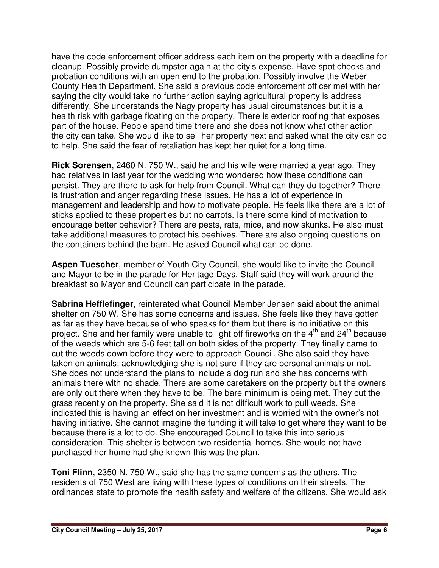have the code enforcement officer address each item on the property with a deadline for cleanup. Possibly provide dumpster again at the city's expense. Have spot checks and probation conditions with an open end to the probation. Possibly involve the Weber County Health Department. She said a previous code enforcement officer met with her saying the city would take no further action saying agricultural property is address differently. She understands the Nagy property has usual circumstances but it is a health risk with garbage floating on the property. There is exterior roofing that exposes part of the house. People spend time there and she does not know what other action the city can take. She would like to sell her property next and asked what the city can do to help. She said the fear of retaliation has kept her quiet for a long time.

**Rick Sorensen,** 2460 N. 750 W., said he and his wife were married a year ago. They had relatives in last year for the wedding who wondered how these conditions can persist. They are there to ask for help from Council. What can they do together? There is frustration and anger regarding these issues. He has a lot of experience in management and leadership and how to motivate people. He feels like there are a lot of sticks applied to these properties but no carrots. Is there some kind of motivation to encourage better behavior? There are pests, rats, mice, and now skunks. He also must take additional measures to protect his beehives. There are also ongoing questions on the containers behind the barn. He asked Council what can be done.

**Aspen Tuescher**, member of Youth City Council, she would like to invite the Council and Mayor to be in the parade for Heritage Days. Staff said they will work around the breakfast so Mayor and Council can participate in the parade.

**Sabrina Hefflefinger**, reinterated what Council Member Jensen said about the animal shelter on 750 W. She has some concerns and issues. She feels like they have gotten as far as they have because of who speaks for them but there is no initiative on this project. She and her family were unable to light off fireworks on the  $4<sup>th</sup>$  and  $24<sup>th</sup>$  because of the weeds which are 5-6 feet tall on both sides of the property. They finally came to cut the weeds down before they were to approach Council. She also said they have taken on animals; acknowledging she is not sure if they are personal animals or not. She does not understand the plans to include a dog run and she has concerns with animals there with no shade. There are some caretakers on the property but the owners are only out there when they have to be. The bare minimum is being met. They cut the grass recently on the property. She said it is not difficult work to pull weeds. She indicated this is having an effect on her investment and is worried with the owner's not having initiative. She cannot imagine the funding it will take to get where they want to be because there is a lot to do. She encouraged Council to take this into serious consideration. This shelter is between two residential homes. She would not have purchased her home had she known this was the plan.

**Toni Flinn**, 2350 N. 750 W., said she has the same concerns as the others. The residents of 750 West are living with these types of conditions on their streets. The ordinances state to promote the health safety and welfare of the citizens. She would ask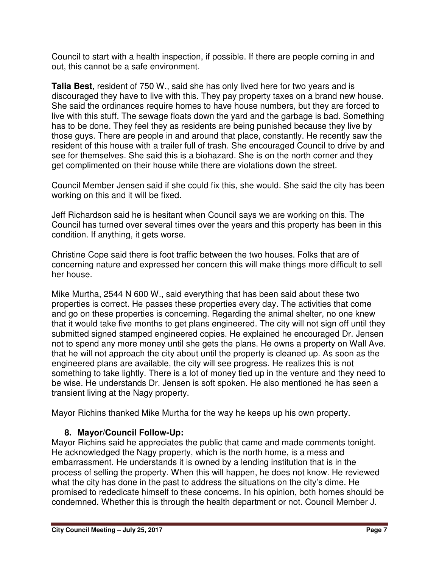Council to start with a health inspection, if possible. If there are people coming in and out, this cannot be a safe environment.

**Talia Best**, resident of 750 W., said she has only lived here for two years and is discouraged they have to live with this. They pay property taxes on a brand new house. She said the ordinances require homes to have house numbers, but they are forced to live with this stuff. The sewage floats down the yard and the garbage is bad. Something has to be done. They feel they as residents are being punished because they live by those guys. There are people in and around that place, constantly. He recently saw the resident of this house with a trailer full of trash. She encouraged Council to drive by and see for themselves. She said this is a biohazard. She is on the north corner and they get complimented on their house while there are violations down the street.

Council Member Jensen said if she could fix this, she would. She said the city has been working on this and it will be fixed.

Jeff Richardson said he is hesitant when Council says we are working on this. The Council has turned over several times over the years and this property has been in this condition. If anything, it gets worse.

Christine Cope said there is foot traffic between the two houses. Folks that are of concerning nature and expressed her concern this will make things more difficult to sell her house.

Mike Murtha, 2544 N 600 W., said everything that has been said about these two properties is correct. He passes these properties every day. The activities that come and go on these properties is concerning. Regarding the animal shelter, no one knew that it would take five months to get plans engineered. The city will not sign off until they submitted signed stamped engineered copies. He explained he encouraged Dr. Jensen not to spend any more money until she gets the plans. He owns a property on Wall Ave. that he will not approach the city about until the property is cleaned up. As soon as the engineered plans are available, the city will see progress. He realizes this is not something to take lightly. There is a lot of money tied up in the venture and they need to be wise. He understands Dr. Jensen is soft spoken. He also mentioned he has seen a transient living at the Nagy property.

Mayor Richins thanked Mike Murtha for the way he keeps up his own property.

## **8. Mayor/Council Follow-Up:**

Mayor Richins said he appreciates the public that came and made comments tonight. He acknowledged the Nagy property, which is the north home, is a mess and embarrassment. He understands it is owned by a lending institution that is in the process of selling the property. When this will happen, he does not know. He reviewed what the city has done in the past to address the situations on the city's dime. He promised to rededicate himself to these concerns. In his opinion, both homes should be condemned. Whether this is through the health department or not. Council Member J.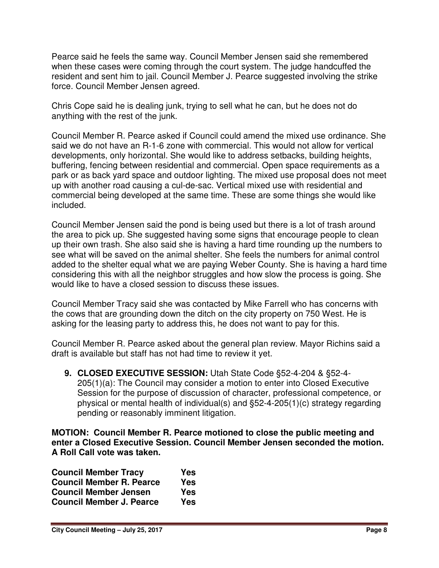Pearce said he feels the same way. Council Member Jensen said she remembered when these cases were coming through the court system. The judge handcuffed the resident and sent him to jail. Council Member J. Pearce suggested involving the strike force. Council Member Jensen agreed.

Chris Cope said he is dealing junk, trying to sell what he can, but he does not do anything with the rest of the junk.

Council Member R. Pearce asked if Council could amend the mixed use ordinance. She said we do not have an R-1-6 zone with commercial. This would not allow for vertical developments, only horizontal. She would like to address setbacks, building heights, buffering, fencing between residential and commercial. Open space requirements as a park or as back yard space and outdoor lighting. The mixed use proposal does not meet up with another road causing a cul-de-sac. Vertical mixed use with residential and commercial being developed at the same time. These are some things she would like included.

Council Member Jensen said the pond is being used but there is a lot of trash around the area to pick up. She suggested having some signs that encourage people to clean up their own trash. She also said she is having a hard time rounding up the numbers to see what will be saved on the animal shelter. She feels the numbers for animal control added to the shelter equal what we are paying Weber County. She is having a hard time considering this with all the neighbor struggles and how slow the process is going. She would like to have a closed session to discuss these issues.

Council Member Tracy said she was contacted by Mike Farrell who has concerns with the cows that are grounding down the ditch on the city property on 750 West. He is asking for the leasing party to address this, he does not want to pay for this.

Council Member R. Pearce asked about the general plan review. Mayor Richins said a draft is available but staff has not had time to review it yet.

**9. CLOSED EXECUTIVE SESSION:** Utah State Code §52-4-204 & §52-4- 205(1)(a): The Council may consider a motion to enter into Closed Executive Session for the purpose of discussion of character, professional competence, or physical or mental health of individual(s) and §52-4-205(1)(c) strategy regarding pending or reasonably imminent litigation.

**MOTION: Council Member R. Pearce motioned to close the public meeting and enter a Closed Executive Session. Council Member Jensen seconded the motion. A Roll Call vote was taken.** 

| <b>Council Member Tracy</b>     | Yes |
|---------------------------------|-----|
| <b>Council Member R. Pearce</b> | Yes |
| <b>Council Member Jensen</b>    | Yes |
| <b>Council Member J. Pearce</b> | Yes |